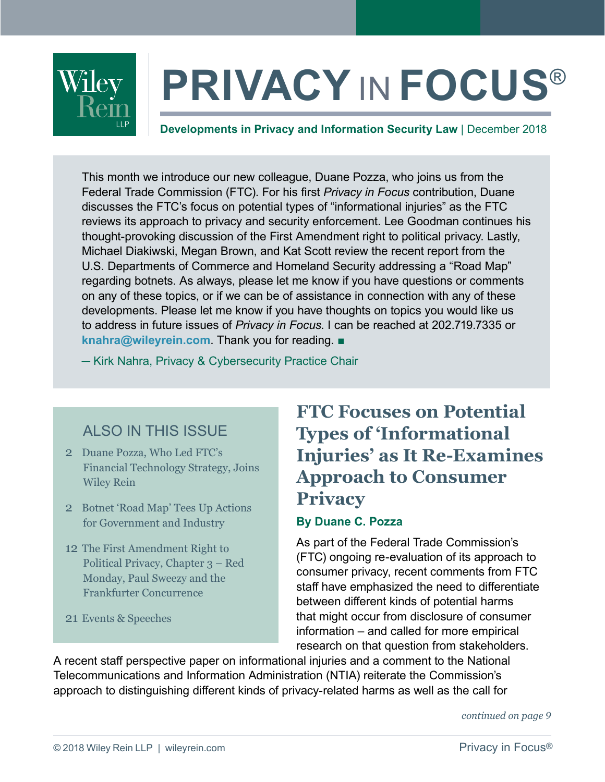

# **PRIVACY** IN **FOCUS**®

**Developments in Privacy and Information Security Law** | December 2018

This month we introduce our new colleague, Duane Pozza, who joins us from the Federal Trade Commission (FTC). For his first *Privacy in Focus* contribution, Duane discusses the FTC's focus on potential types of "informational injuries" as the FTC reviews its approach to privacy and security enforcement. Lee Goodman continues his thought-provoking discussion of the First Amendment right to political privacy. Lastly, Michael Diakiwski, Megan Brown, and Kat Scott review the recent report from the U.S. Departments of Commerce and Homeland Security addressing a "Road Map" regarding botnets. As always, please let me know if you have questions or comments on any of these topics, or if we can be of assistance in connection with any of these developments. Please let me know if you have thoughts on topics you would like us to address in future issues of *Privacy in Focus*. I can be reached at 202.719.7335 or **[knahra@wileyrein.com](mailto:knahra%40wileyrein.com?subject=)**. Thank you for reading. ■

─ [Kirk Nahra, Privacy & Cybersecurity Practice Chair](https://www.wileyrein.com/professionals-KirkNahra.html)

# ALSO IN THIS ISSUE

- 2 Duane Pozza, Who Led FTC's [Financial Technology Strategy, Joins](#page-1-0)  Wiley Rein
- 2 [Botnet 'Road Map' Tees Up Actions](#page-1-0)  for Government and Industry
- 12 The First Amendment Right to [Political Privacy, Chapter 3 – Red](#page-11-0)  Monday, Paul Sweezy and the Frankfurter Concurrence
- 21 [Events & Speeches](#page-20-0)

# **FTC Focuses on Potential Types of 'Informational Injuries' as It Re-Examines Approach to Consumer Privacy**

#### **By Duane C. Pozza**

As part of the Federal Trade Commission's (FTC) ongoing re-evaluation of its approach to consumer privacy, recent comments from FTC staff have emphasized the need to differentiate between different kinds of potential harms that might occur from disclosure of consumer information – and called for more empirical research on that question from stakeholders.

A recent staff perspective paper on informational injuries and a comment to the National Telecommunications and Information Administration (NTIA) reiterate the Commission's approach to distinguishing different kinds of privacy-related harms as well as the call for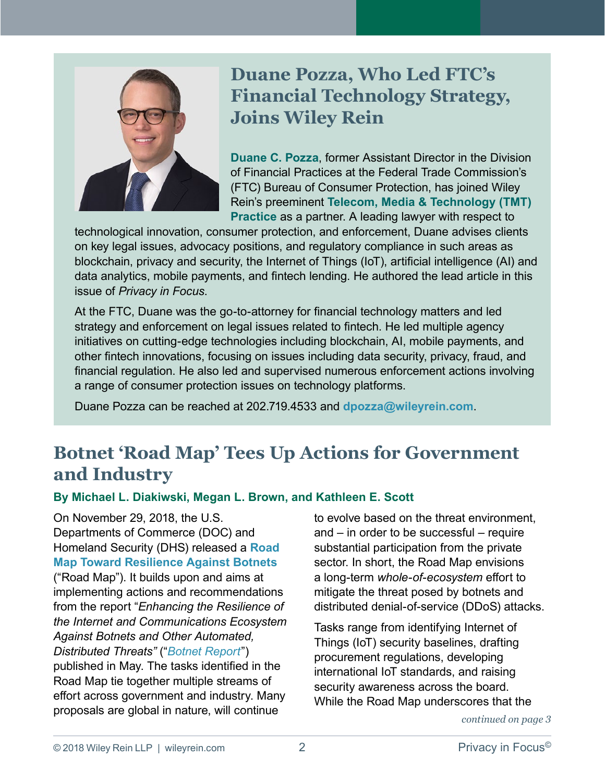<span id="page-1-0"></span>

# **Duane Pozza, Who Led FTC's Financial Technology Strategy, Joins Wiley Rein**

**[Duane C. Pozza](https://www.wileyrein.com/professionals-DuanePozza.html)**, former Assistant Director in the Division of Financial Practices at the Federal Trade Commission's (FTC) Bureau of Consumer Protection, has joined Wiley Rein's preeminent **[Telecom, Media & Technology \(TMT\)](https://www.wileyrein.com/practices-TelecomMediaTechnology.html)  [Practice](https://www.wileyrein.com/practices-TelecomMediaTechnology.html)** as a partner. A leading lawyer with respect to

technological innovation, consumer protection, and enforcement, Duane advises clients on key legal issues, advocacy positions, and regulatory compliance in such areas as blockchain, privacy and security, the Internet of Things (IoT), artificial intelligence (AI) and data analytics, mobile payments, and fintech lending. He authored the lead article in this issue of *Privacy in Focus*.

At the FTC, Duane was the go-to-attorney for financial technology matters and led strategy and enforcement on legal issues related to fintech. He led multiple agency initiatives on cutting-edge technologies including blockchain, AI, mobile payments, and other fintech innovations, focusing on issues including data security, privacy, fraud, and financial regulation. He also led and supervised numerous enforcement actions involving a range of consumer protection issues on technology platforms.

Duane Pozza can be reached at 202.719.4533 and **[dpozza@wileyrein.com](mailto:dpozza@wileyrein.com)**.

# **Botnet 'Road Map' Tees Up Actions for Government and Industry**

#### **By Michael L. Diakiwski, Megan L. Brown, and Kathleen E. Scott**

On November 29, 2018, the U.S. Departments of Commerce (DOC) and Homeland Security (DHS) released a **[Road](https://www.commerce.gov/sites/default/files/2018-11/Botnet Road Map 112918 for posting_0.pdf)  [Map Toward Resilience Against Botnets](https://www.commerce.gov/sites/default/files/2018-11/Botnet Road Map 112918 for posting_0.pdf)** ("Road Map"). It builds upon and aims at implementing actions and recommendations from the report "*Enhancing the Resilience of the Internet and Communications Ecosystem Against Botnets and Other Automated, Distributed Threats"* ("*[Botnet Report](https://www.ntia.doc.gov/press-release/2018/us-departments-commerce-homeland-security-release-report-president-promoting)*") published in May. The tasks identified in the Road Map tie together multiple streams of effort across government and industry. Many proposals are global in nature, will continue

to evolve based on the threat environment, and – in order to be successful – require substantial participation from the private sector. In short, the Road Map envisions a long-term *whole-of-ecosystem* effort to mitigate the threat posed by botnets and distributed denial-of-service (DDoS) attacks.

Tasks range from identifying Internet of Things (IoT) security baselines, drafting procurement regulations, developing international IoT standards, and raising security awareness across the board. While the Road Map underscores that the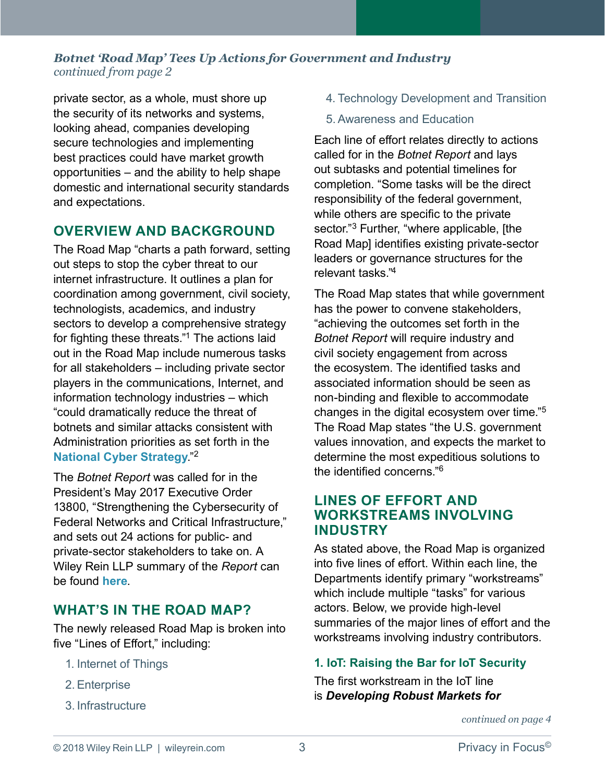<span id="page-2-0"></span>private sector, as a whole, must shore up the security of its networks and systems, looking ahead, companies developing secure technologies and implementing best practices could have market growth opportunities – and the ability to help shape domestic and international security standards and expectations.

#### **OVERVIEW AND BACKGROUND**

The Road Map "charts a path forward, setting out steps to stop the cyber threat to our internet infrastructure. It outlines a plan for coordination among government, civil society, technologists, academics, and industry sectors to develop a comprehensive strategy for fighting these threats."[1](#page-7-0) The actions laid out in the Road Map include numerous tasks for all stakeholders – including private sector players in the communications, Internet, and information technology industries – which "could dramatically reduce the threat of botnets and similar attacks consistent with Administration priorities as set forth in the **[National Cyber Strategy](https://www.wileyrein.com/newsroom-articles-National_Cyber_Strategy_Emphasizes_Private_Sectors_Shared_Responsibility_for_Cyberspace.html)**."[2](#page-7-0)

The *Botnet Report* was called for in the President's May 2017 Executive Order 13800, "Strengthening the Cybersecurity of Federal Networks and Critical Infrastructure," and sets out 24 actions for public- and private-sector stakeholders to take on. A Wiley Rein LLP summary of the *Report* can be found **[here](https://www.wileyrein.com/newsroom-newsletters-item-June_2018_PIF_Highly_Anticipated_Botnet_Report_Finally_Released.html)**.

## **WHAT'S IN THE ROAD MAP?**

The newly released Road Map is broken into five "Lines of Effort," including:

- 1. Internet of Things
- 2. Enterprise
- 3. Infrastructure
- 4. Technology Development and Transition
- 5. Awareness and Education

Each line of effort relates directly to actions called for in the *Botnet Report* and lays out subtasks and potential timelines for completion. "Some tasks will be the direct responsibility of the federal government, while others are specific to the private sector."<sup>[3](#page-7-0)</sup> Further, "where applicable, [the Road Map] identifies existing private-sector leaders or governance structures for the relevant tasks<sup>["4](#page-7-0)</sup>

The Road Map states that while government has the power to convene stakeholders, "achieving the outcomes set forth in the *Botnet Report* will require industry and civil society engagement from across the ecosystem. The identified tasks and associated information should be seen as non-binding and flexible to accommodate changes in the digital ecosystem over time."[5](#page-7-0) The Road Map states "the U.S. government values innovation, and expects the market to determine the most expeditious solutions to the identified concerns."[6](#page-7-0)

#### **LINES OF EFFORT AND WORKSTREAMS INVOLVING INDUSTRY**

As stated above, the Road Map is organized into five lines of effort. Within each line, the Departments identify primary "workstreams" which include multiple "tasks" for various actors. Below, we provide high-level summaries of the major lines of effort and the workstreams involving industry contributors.

#### **1. IoT: Raising the Bar for IoT Security**

The first workstream in the IoT line is *Developing Robust Markets for*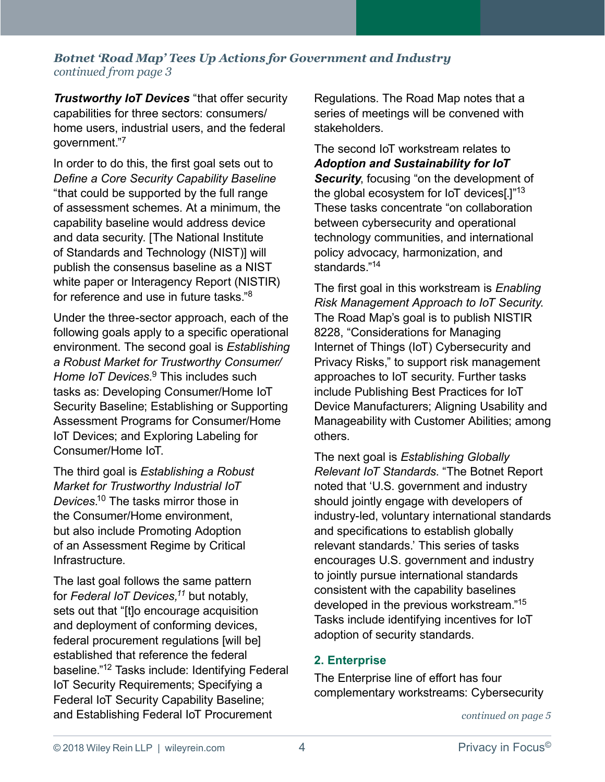<span id="page-3-0"></span>*Trustworthy IoT Devices* "that offer security capabilities for three sectors: consumers/ home users, industrial users, and the federal government."[7](#page-7-0) 

In order to do this, the first goal sets out to *Define a Core Security Capability Baseline* "that could be supported by the full range of assessment schemes. At a minimum, the capability baseline would address device and data security. [The National Institute of Standards and Technology (NIST)] will publish the consensus baseline as a NIST white paper or Interagency Report (NISTIR) for reference and use in future tasks."[8](#page-7-0)

Under the three-sector approach, each of the following goals apply to a specific operational environment. The second goal is *Establishing a Robust Market for Trustworthy Consumer/ Home IoT Devices*. [9](#page-7-0) This includes such tasks as: Developing Consumer/Home IoT Security Baseline; Establishing or Supporting Assessment Programs for Consumer/Home IoT Devices; and Exploring Labeling for Consumer/Home IoT.

The third goal is *Establishing a Robust Market for Trustworthy Industrial IoT Devices*. [10](#page-7-0) The tasks mirror those in the Consumer/Home environment, but also include Promoting Adoption of an Assessment Regime by Critical Infrastructure.

The last goal follows the same pattern for *Federal IoT Devices[,11](#page-7-0)* but notably, sets out that "[t]o encourage acquisition and deployment of conforming devices, federal procurement regulations [will be] established that reference the federal baseline."[12](#page-7-0) Tasks include: Identifying Federal IoT Security Requirements; Specifying a Federal IoT Security Capability Baseline; and Establishing Federal IoT Procurement

Regulations. The Road Map notes that a series of meetings will be convened with stakeholders.

The second IoT workstream relates to *Adoption and Sustainability for IoT*  **Security**, focusing "on the development of the global ecosystem for IoT devices $1^{1/13}$  $1^{1/13}$  $1^{1/13}$ These tasks concentrate "on collaboration between cybersecurity and operational technology communities, and international policy advocacy, harmonization, and standards<sup>["14](#page-7-0)</sup>

The first goal in this workstream is *Enabling Risk Management Approach to IoT Security*. The Road Map's goal is to publish NISTIR 8228, "Considerations for Managing Internet of Things (IoT) Cybersecurity and Privacy Risks," to support risk management approaches to IoT security. Further tasks include Publishing Best Practices for IoT Device Manufacturers; Aligning Usability and Manageability with Customer Abilities; among others.

The next goal is *Establishing Globally Relevant IoT Standards*. "The Botnet Report noted that 'U.S. government and industry should jointly engage with developers of industry-led, voluntary international standards and specifications to establish globally relevant standards.' This series of tasks encourages U.S. government and industry to jointly pursue international standards consistent with the capability baselines developed in the previous workstream."[15](#page-7-0) Tasks include identifying incentives for IoT adoption of security standards.

#### **2. Enterprise**

The Enterprise line of effort has four complementary workstreams: Cybersecurity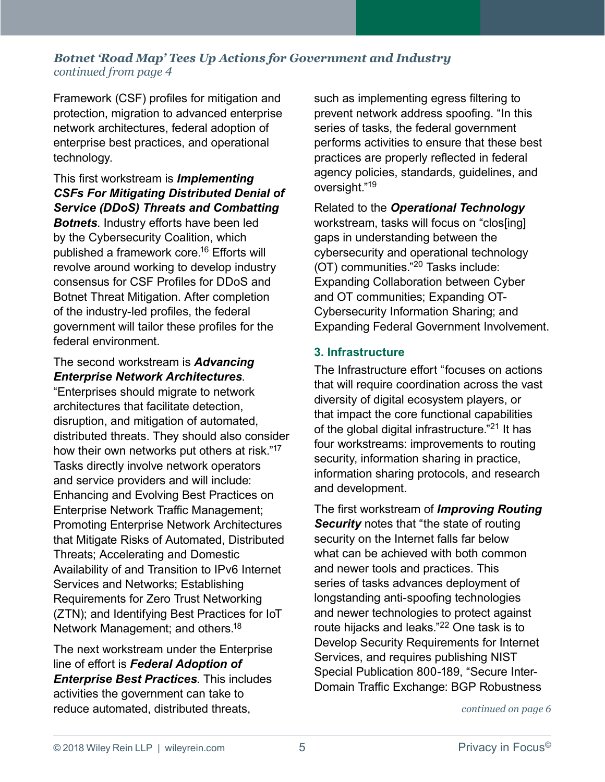<span id="page-4-0"></span>Framework (CSF) profiles for mitigation and protection, migration to advanced enterprise network architectures, federal adoption of enterprise best practices, and operational technology.

This first workstream is *Implementing CSFs For Mitigating Distributed Denial of Service (DDoS) Threats and Combatting Botnets*. Industry efforts have been led by the Cybersecurity Coalition, which

published a framework core.[16](#page-7-0) Efforts will revolve around working to develop industry consensus for CSF Profiles for DDoS and Botnet Threat Mitigation. After completion of the industry-led profiles, the federal government will tailor these profiles for the federal environment.

#### The second workstream is *Advancing Enterprise Network Architectures*.

"Enterprises should migrate to network architectures that facilitate detection, disruption, and mitigation of automated, distributed threats. They should also consider how their own networks put others at risk."[17](#page-7-0) Tasks directly involve network operators and service providers and will include: Enhancing and Evolving Best Practices on Enterprise Network Traffic Management; Promoting Enterprise Network Architectures that Mitigate Risks of Automated, Distributed Threats; Accelerating and Domestic Availability of and Transition to IPv6 Internet Services and Networks; Establishing Requirements for Zero Trust Networking (ZTN); and Identifying Best Practices for IoT Network Management; and others.<sup>[18](#page-7-0)</sup>

The next workstream under the Enterprise line of effort is *Federal Adoption of Enterprise Best Practices*. This includes activities the government can take to reduce automated, distributed threats,

such as implementing egress filtering to prevent network address spoofing. "In this series of tasks, the federal government performs activities to ensure that these best practices are properly reflected in federal agency policies, standards, guidelines, and oversight."[19](#page-7-0)

Related to the *Operational Technology*  workstream, tasks will focus on "clos[ing] gaps in understanding between the cybersecurity and operational technology (OT) communities."[20](#page-7-0) Tasks include: Expanding Collaboration between Cyber and OT communities; Expanding OT-Cybersecurity Information Sharing; and Expanding Federal Government Involvement.

#### **3. Infrastructure**

The Infrastructure effort "focuses on actions that will require coordination across the vast diversity of digital ecosystem players, or that impact the core functional capabilities of the global digital infrastructure."[21](#page-7-0) It has four workstreams: improvements to routing security, information sharing in practice, information sharing protocols, and research and development.

The first workstream of *Improving Routing*  **Security** notes that "the state of routing security on the Internet falls far below what can be achieved with both common and newer tools and practices. This series of tasks advances deployment of longstanding anti-spoofing technologies and newer technologies to protect against route hijacks and leaks."[22](#page-7-0) One task is to Develop Security Requirements for Internet Services, and requires publishing NIST Special Publication 800-189, "Secure Inter-Domain Traffic Exchange: BGP Robustness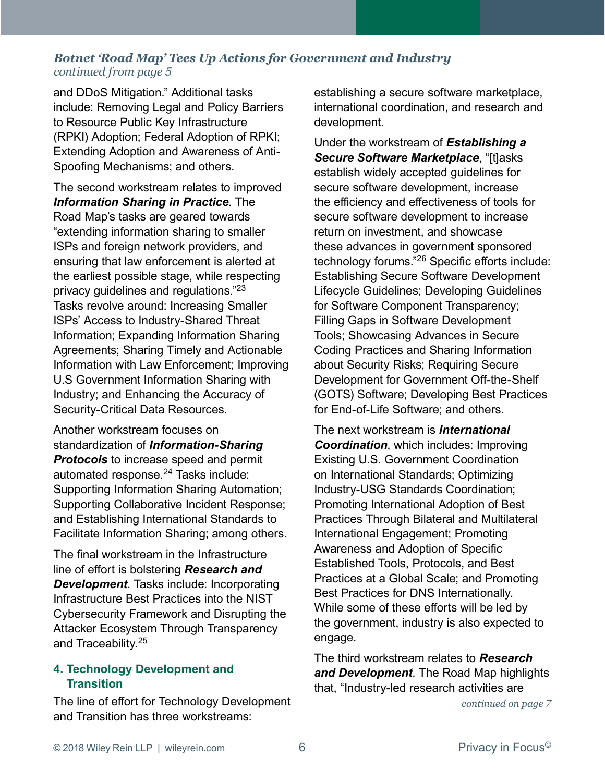<span id="page-5-0"></span>and DDoS Mitigation." Additional tasks include: Removing Legal and Policy Barriers to Resource Public Key Infrastructure (RPKI) Adoption; Federal Adoption of RPKI; Extending Adoption and Awareness of Anti-Spoofing Mechanisms; and others.

The second workstream relates to improved *Information Sharing in Practice*. The Road Map's tasks are geared towards "extending information sharing to smaller ISPs and foreign network providers, and ensuring that law enforcement is alerted at the earliest possible stage, while respecting privacy guidelines and regulations."[23](#page-7-0) Tasks revolve around: Increasing Smaller ISPs' Access to Industry-Shared Threat Information; Expanding Information Sharing Agreements; Sharing Timely and Actionable Information with Law Enforcement; Improving U.S Government Information Sharing with Industry; and Enhancing the Accuracy of Security-Critical Data Resources.

Another workstream focuses on standardization of *Information-Sharing Protocols* to increase speed and permit automated response.<sup>24</sup> Tasks include: Supporting Information Sharing Automation; Supporting Collaborative Incident Response; and Establishing International Standards to Facilitate Information Sharing; among others.

The final workstream in the Infrastructure line of effort is bolstering *Research and Development*. Tasks include: Incorporating Infrastructure Best Practices into the NIST Cybersecurity Framework and Disrupting the Attacker Ecosystem Through Transparency and Traceability.[25](#page-7-0)

#### **4. Technology Development and Transition**

The line of effort for Technology Development and Transition has three workstreams:

establishing a secure software marketplace, international coordination, and research and development.

Under the workstream of *Establishing a Secure Software Marketplace*, "[t]asks establish widely accepted guidelines for secure software development, increase the efficiency and effectiveness of tools for secure software development to increase return on investment, and showcase these advances in government sponsored technology forums."[26](#page-7-0) Specific efforts include: Establishing Secure Software Development Lifecycle Guidelines; Developing Guidelines for Software Component Transparency; Filling Gaps in Software Development Tools; Showcasing Advances in Secure Coding Practices and Sharing Information about Security Risks; Requiring Secure Development for Government Off-the-Shelf (GOTS) Software; Developing Best Practices for Fnd-of-Life Software; and others

The next workstream is *International Coordination*, which includes: Improving Existing U.S. Government Coordination on International Standards; Optimizing Industry-USG Standards Coordination; Promoting International Adoption of Best Practices Through Bilateral and Multilateral International Engagement; Promoting Awareness and Adoption of Specific Established Tools, Protocols, and Best Practices at a Global Scale; and Promoting Best Practices for DNS Internationally. While some of these efforts will be led by the government, industry is also expected to engage.

The third workstream relates to *Research and Development*. The Road Map highlights that, "Industry-led research activities are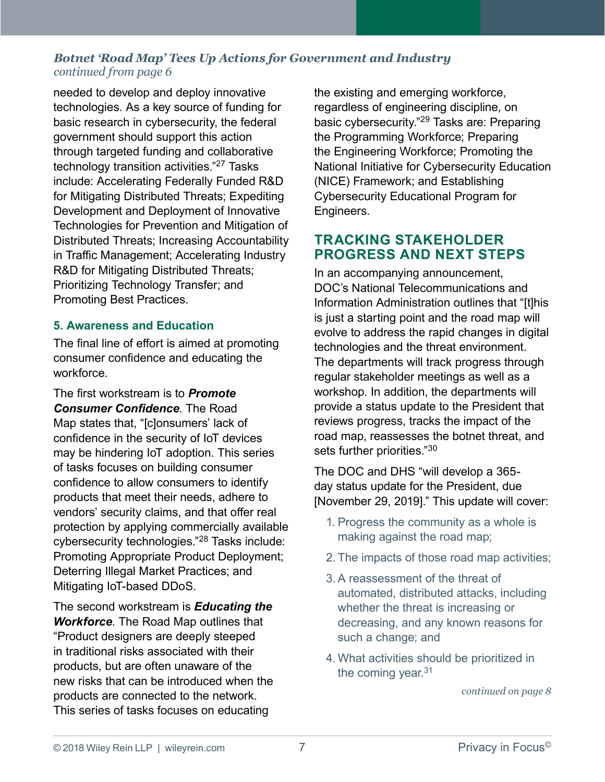<span id="page-6-0"></span>needed to develop and deploy innovative technologies. As a key source of funding for basic research in cybersecurity, the federal government should support this action through targeted funding and collaborative technology transition activities."[27](#page-7-0) Tasks include: Accelerating Federally Funded R&D for Mitigating Distributed Threats; Expediting Development and Deployment of Innovative Technologies for Prevention and Mitigation of Distributed Threats; Increasing Accountability in Traffic Management; Accelerating Industry R&D for Mitigating Distributed Threats; Prioritizing Technology Transfer; and Promoting Best Practices.

#### **5. Awareness and Education**

The final line of effort is aimed at promoting consumer confidence and educating the workforce.

The first workstream is to *Promote Consumer Confidence*. The Road Map states that, "[c]onsumers' lack of confidence in the security of IoT devices may be hindering IoT adoption. This series of tasks focuses on building consumer confidence to allow consumers to identify products that meet their needs, adhere to vendors' security claims, and that offer real protection by applying commercially available cybersecurity technologies."[28](#page-7-0) Tasks include: Promoting Appropriate Product Deployment; Deterring Illegal Market Practices; and Mitigating IoT-based DDoS.

The second workstream is *Educating the Workforce*. The Road Map outlines that "Product designers are deeply steeped in traditional risks associated with their products, but are often unaware of the new risks that can be introduced when the products are connected to the network. This series of tasks focuses on educating

the existing and emerging workforce, regardless of engineering discipline, on basic cybersecurity."[29](#page-7-0) Tasks are: Preparing the Programming Workforce; Preparing the Engineering Workforce; Promoting the National Initiative for Cybersecurity Education (NICE) Framework; and Establishing Cybersecurity Educational Program for Engineers.

### **TRACKING STAKEHOLDER PROGRESS AND NEXT STEPS**

In an accompanying announcement, DOC's National Telecommunications and Information Administration outlines that "[t]his is just a starting point and the road map will evolve to address the rapid changes in digital technologies and the threat environment. The departments will track progress through regular stakeholder meetings as well as a workshop. In addition, the departments will provide a status update to the President that reviews progress, tracks the impact of the road map, reassesses the botnet threat, and sets further priorities."30

The DOC and DHS "will develop a 365 day status update for the President, due [November 29, 2019]." This update will cover:

- 1. Progress the community as a whole is making against the road map;
- 2. The impacts of those road map activities;
- 3. A reassessment of the threat of automated, distributed attacks, including whether the threat is increasing or decreasing, and any known reasons for such a change; and
- 4. What activities should be prioritized in the coming year. $31$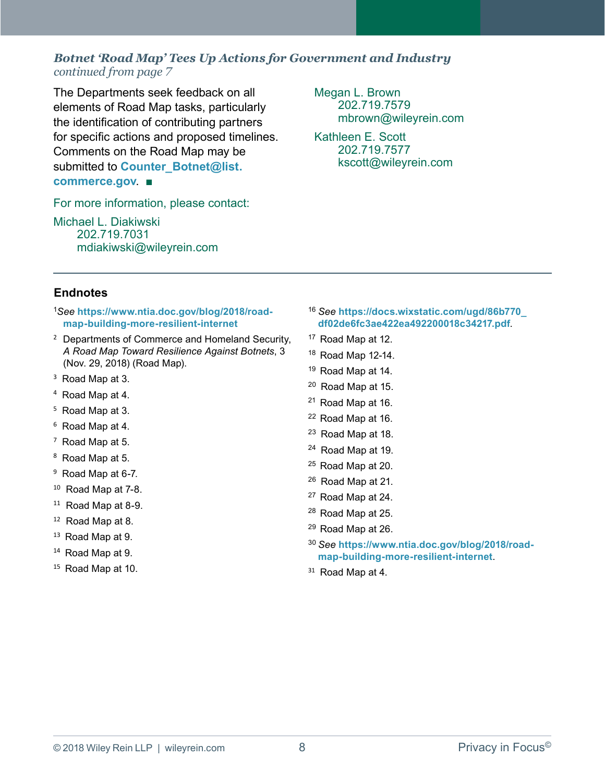<span id="page-7-0"></span>The Departments seek feedback on all elements of Road Map tasks, particularly the identification of contributing partners for specific actions and proposed timelines. Comments on the Road Map may be submitted to **Counter** Botnet@list. **[commerce.gov](mailto:COUNTER_BOTNET@LIST.COMMERCE.GOV)**. ■

For more information, please contact:

[Michael L. Diakiwski](https://www.wileyrein.com/professionals-MichaelDiakiwski.html) 202.719.7031 [mdiakiwski@wileyrein.com](mailto:mdiakiwski@wileyrein.com) [Megan L. Brown](https://www.wileyrein.com/professionals-MeganBrown.html) 202.719.7579 mbrown[@wileyrein.com](mailto:mdiakiwski@wileyrein.com)

[Kathleen E. Scott](https://www.wileyrein.com/professionals-KatScott.html) 202.719.7577 kscott[@wileyrein.com](mailto:mdiakiwski@wileyrein.com)

#### **Endnotes**

[1](#page-2-0)*See* **[https://www.ntia.doc.gov/blog/2018/road](https://www.ntia.doc.gov/blog/2018/road-map-building-more-resilient-internet)[map-building-more-resilient-internet](https://www.ntia.doc.gov/blog/2018/road-map-building-more-resilient-internet)**

- <sup>[2](#page-2-0)</sup> Departments of Commerce and Homeland Security, *A Road Map Toward Resilience Against Botnets*, 3 (Nov. 29, 2018) (Road Map).
- [3](#page-2-0) Road Map at 3.
- [4](#page-2-0) Road Map at 4.
- [5](#page-2-0) Road Map at 3.
- [6](#page-2-0) Road Map at 4.
- $7$  Road Map at 5.
- [8](#page-3-0) Road Map at 5.
- <sup>[9](#page-3-0)</sup> Road Map at 6-7.
- [10](#page-3-0) Road Map at 7-8.
- [11](#page-3-0) Road Map at 8-9.
- [12](#page-3-0) Road Map at 8.
- <sup>[13](#page-3-0)</sup> Road Map at 9.
- [14](#page-3-0) Road Map at 9.
- [15](#page-3-0) Road Map at 10.
- [16](#page-4-0) *See* **[https://docs.wixstatic.com/ugd/86b770\\_](https://docs.wixstatic.com/ugd/86b770_df02de6fc3ae422ea492200018c34217.pdf) [df02de6fc3ae422ea492200018c34217.pdf](https://docs.wixstatic.com/ugd/86b770_df02de6fc3ae422ea492200018c34217.pdf)**.
- [17](#page-4-0) Road Map at 12.
- [18](#page-4-0) Road Map 12-14.
- [19](#page-4-0) Road Map at 14.
- [20](#page-4-0) Road Map at 15.
- [21](#page-4-0) Road Map at 16.
- [22](#page-4-0) Road Map at 16.
- [23](#page-5-0) Road Map at 18.
- [24](#page-5-0) Road Map at 19.
- [25](#page-5-0) Road Map at 20.
- [26](#page-5-0) Road Map at 21.
- [27](#page-6-0) Road Map at 24.
- [28](#page-6-0) Road Map at 25.
- [29](#page-6-0) Road Map at 26.
- [30](#page-6-0) *See* **[https://www.ntia.doc.gov/blog/2018/road](https://www.ntia.doc.gov/blog/2018/road-map-building-more-resilient-internet)[map-building-more-resilient-internet](https://www.ntia.doc.gov/blog/2018/road-map-building-more-resilient-internet)**.
- <sup>[31](#page-6-0)</sup> Road Map at 4.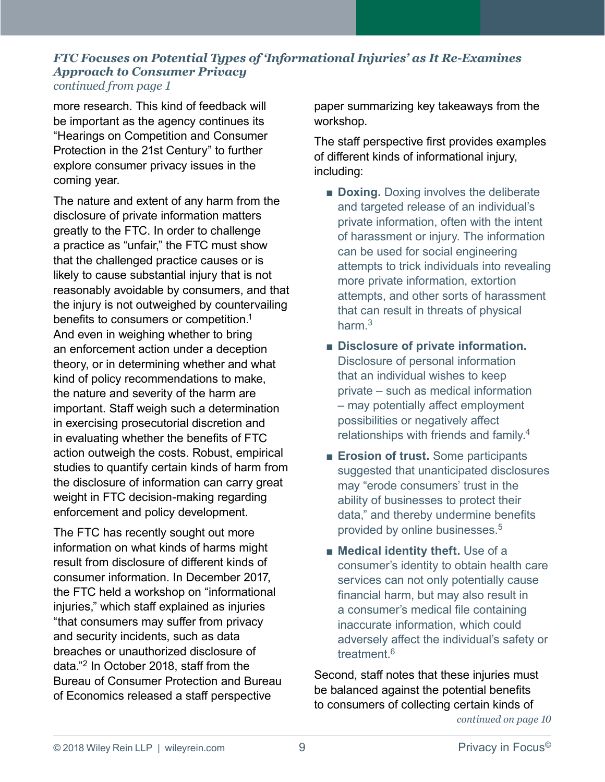#### <span id="page-8-0"></span>*FTC Focuses on Potential Types of 'Informational Injuries' as It Re-Examines Approach to Consumer Privacy continued from page 1*

more research. This kind of feedback will be important as the agency continues its "Hearings on Competition and Consumer Protection in the 21st Century" to further explore consumer privacy issues in the coming year.

The nature and extent of any harm from the disclosure of private information matters greatly to the FTC. In order to challenge a practice as "unfair," the FTC must show that the challenged practice causes or is likely to cause substantial injury that is not reasonably avoidable by consumers, and that the injury is not outweighed by countervailing benefits to consumers or competition.[1](#page-10-0) And even in weighing whether to bring an enforcement action under a deception theory, or in determining whether and what kind of policy recommendations to make, the nature and severity of the harm are important. Staff weigh such a determination in exercising prosecutorial discretion and in evaluating whether the benefits of FTC action outweigh the costs. Robust, empirical studies to quantify certain kinds of harm from the disclosure of information can carry great weight in FTC decision-making regarding enforcement and policy development.

The FTC has recently sought out more information on what kinds of harms might result from disclosure of different kinds of consumer information. In December 2017, the FTC held a workshop on "informational injuries," which staff explained as injuries "that consumers may suffer from privacy and security incidents, such as data breaches or unauthorized disclosure of data."[2](#page-10-0) In October 2018, staff from the Bureau of Consumer Protection and Bureau of Economics released a staff perspective

paper summarizing key takeaways from the workshop.

The staff perspective first provides examples of different kinds of informational injury, including:

- **Doxing.** Doxing involves the deliberate and targeted release of an individual's private information, often with the intent of harassment or injury. The information can be used for social engineering attempts to trick individuals into revealing more private information, extortion attempts, and other sorts of harassment that can result in threats of physical harm.[3](#page-10-0)
- **Disclosure of private information.** Disclosure of personal information that an individual wishes to keep private – such as medical information – may potentially affect employment possibilities or negatively affect relationships with friends and family.[4](#page-10-0)
- **Erosion of trust.** Some participants suggested that unanticipated disclosures may "erode consumers' trust in the ability of businesses to protect their data," and thereby undermine benefits provided by online businesses.<sup>[5](#page-10-0)</sup>
- **Medical identity theft.** Use of a consumer's identity to obtain health care services can not only potentially cause financial harm, but may also result in a consumer's medical file containing inaccurate information, which could adversely affect the individual's safety or treatment[.6](#page-10-0)

Second, staff notes that these injuries must be balanced against the potential benefits to consumers of collecting certain kinds of *[continued on page](#page-1-0) 10*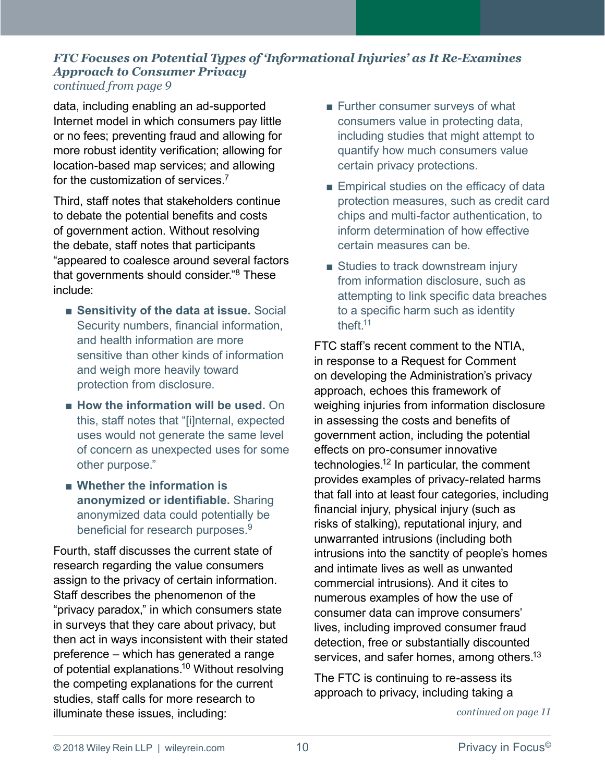#### <span id="page-9-0"></span>*FTC Focuses on Potential Types of 'Informational Injuries' as It Re-Examines Approach to Consumer Privacy continued from page 9*

data, including enabling an ad-supported Internet model in which consumers pay little or no fees; preventing fraud and allowing for more robust identity verification; allowing for location-based map services; and allowing for the customization of services.[7](#page-10-0) 

Third, staff notes that stakeholders continue to debate the potential benefits and costs of government action. Without resolving the debate, staff notes that participants "appeared to coalesce around several factors that governments should consider."[8](#page-10-0) These include:

- **Sensitivity of the data at issue.** Social Security numbers, financial information, and health information are more sensitive than other kinds of information and weigh more heavily toward protection from disclosure.
- **How the information will be used.** On this, staff notes that "[i]nternal, expected uses would not generate the same level of concern as unexpected uses for some other purpose."
- Whether the information is **anonymized or identifiable.** Sharing anonymized data could potentially be beneficial for research purposes.<sup>9</sup>

Fourth, staff discusses the current state of research regarding the value consumers assign to the privacy of certain information. Staff describes the phenomenon of the "privacy paradox," in which consumers state in surveys that they care about privacy, but then act in ways inconsistent with their stated preference – which has generated a range of potential explanations[.10](#page-10-0) Without resolving the competing explanations for the current studies, staff calls for more research to illuminate these issues, including:

- Further consumer surveys of what consumers value in protecting data, including studies that might attempt to quantify how much consumers value certain privacy protections.
- Empirical studies on the efficacy of data protection measures, such as credit card chips and multi-factor authentication, to inform determination of how effective certain measures can be.
- Studies to track downstream injury from information disclosure, such as attempting to link specific data breaches to a specific harm such as identity theft[.11](#page-10-0)

FTC staff's recent comment to the NTIA, in response to a Request for Comment on developing the Administration's privacy approach, echoes this framework of weighing injuries from information disclosure in assessing the costs and benefits of government action, including the potential effects on pro-consumer innovative technologies[.12](#page-10-0) In particular, the comment provides examples of privacy-related harms that fall into at least four categories, including financial injury, physical injury (such as risks of stalking), reputational injury, and unwarranted intrusions (including both intrusions into the sanctity of people's homes and intimate lives as well as unwanted commercial intrusions). And it cites to numerous examples of how the use of consumer data can improve consumers' lives, including improved consumer fraud detection, free or substantially discounted services, and safer homes, among others.<sup>13</sup>

The FTC is continuing to re-assess its approach to privacy, including taking a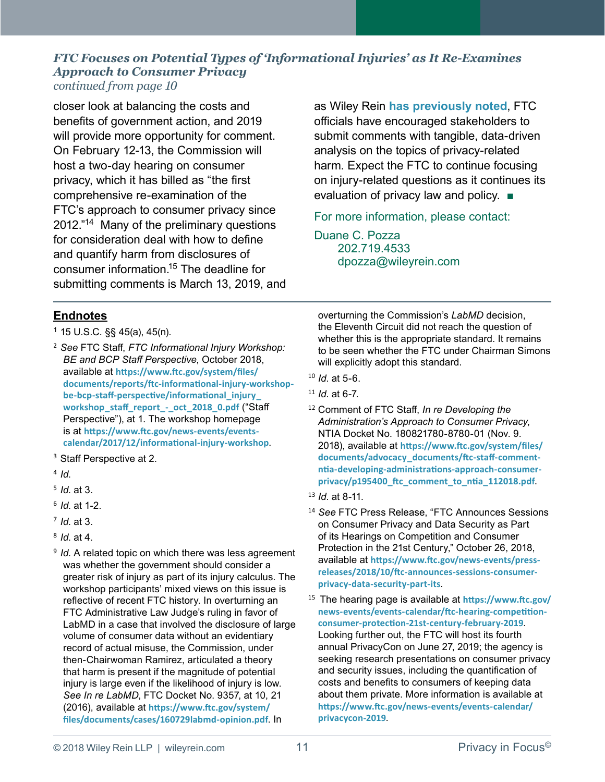#### <span id="page-10-0"></span>*FTC Focuses on Potential Types of 'Informational Injuries' as It Re-Examines Approach to Consumer Privacy continued from page 10*

closer look at balancing the costs and benefits of government action, and 2019 will provide more opportunity for comment. On February 12-13, the Commission will host a two-day hearing on consumer privacy, which it has billed as "the first comprehensive re-examination of the FTC's approach to consumer privacy since 2012."14 Many of the preliminary questions for consideration deal with how to define and quantify harm from disclosures of consumer information.15 The deadline for submitting comments is March 13, 2019, and as Wiley Rein **[has previously noted](https://www.wileyrein.com/newsroom-newsletters-item-Nov_2018-PIF-FTC_Sets_Hearings_on_Privacy_and_Data_Security_Enforcement.html)**, FTC officials have encouraged stakeholders to submit comments with tangible, data-driven analysis on the topics of privacy-related harm. Expect the FTC to continue focusing on injury-related questions as it continues its evaluation of privacy law and policy. ■

For more information, please contact:

[Duane C. Pozza](https://www.wileyrein.com/professionals-DuanePozza.html) 202.719.4533 dpozza[@wileyrein.com](mailto:mdiakiwski@wileyrein.com)

#### **Endnotes**

- <sup>1</sup> 15 U.S.C. §§ 45(a), 45(n).
- [2](#page-8-0) *See* FTC Staff, *FTC Informational Injury Workshop: BE and BCP Staff Perspective*, October 2018, available at **[https://www.ftc.gov/system/files/](https://www.ftc.gov/system/files/documents/reports/ftc-informational-injury-workshop-be-bcp-staff-perspective/informational_injury_workshop_staff_report_-_oct_2018_0.pdf) [documents/reports/ftc-informational-injury-workshop](https://www.ftc.gov/system/files/documents/reports/ftc-informational-injury-workshop-be-bcp-staff-perspective/informational_injury_workshop_staff_report_-_oct_2018_0.pdf)[be-bcp-staff-perspective/informational\\_injury\\_](https://www.ftc.gov/system/files/documents/reports/ftc-informational-injury-workshop-be-bcp-staff-perspective/informational_injury_workshop_staff_report_-_oct_2018_0.pdf) [workshop\\_staff\\_report\\_-\\_oct\\_2018\\_0.pdf](https://www.ftc.gov/system/files/documents/reports/ftc-informational-injury-workshop-be-bcp-staff-perspective/informational_injury_workshop_staff_report_-_oct_2018_0.pdf)** ("Staff Perspective"), at 1. The workshop homepage is at **[https://www.ftc.gov/news-events/events](https://www.ftc.gov/news-events/events-calendar/2017/12/informational-injury-workshop)[calendar/2017/12/informational-injury-workshop](https://www.ftc.gov/news-events/events-calendar/2017/12/informational-injury-workshop)**.
- <sup>[3](#page-8-0)</sup> Staff Perspective at 2.
- [4](#page-8-0) *Id*.
- [5](#page-8-0) *Id*. at 3.
- [6](#page-8-0) *Id*. at 1-2.
- [7](#page-9-0) *Id*. at 3.
- [8](#page-9-0) *Id*. at 4.
- <sup>[9](#page-9-0)</sup> *Id*. A related topic on which there was less agreement was whether the government should consider a greater risk of injury as part of its injury calculus. The workshop participants' mixed views on this issue is reflective of recent FTC history. In overturning an FTC Administrative Law Judge's ruling in favor of LabMD in a case that involved the disclosure of large volume of consumer data without an evidentiary record of actual misuse, the Commission, under then-Chairwoman Ramirez, articulated a theory that harm is present if the magnitude of potential injury is large even if the likelihood of injury is low. *See In re LabMD*, FTC Docket No. 9357, at 10, 21 (2016), available at **[https://www.ftc.gov/system/](https://www.ftc.gov/system/files/documents/cases/160729labmd-opinion.pdf) [files/documents/cases/160729labmd-opinion.pdf](https://www.ftc.gov/system/files/documents/cases/160729labmd-opinion.pdf)**. In

overturning the Commission's *LabMD* decision, the Eleventh Circuit did not reach the question of whether this is the appropriate standard. It remains to be seen whether the FTC under Chairman Simons will explicitly adopt this standard.

- [10](#page-9-0) *Id*. at 5-6.
- [11](#page-9-0) *Id*. at 6-7.
- [12](#page-9-0) Comment of FTC Staff, *In re Developing the Administration's Approach to Consumer Privacy*, NTIA Docket No. 180821780-8780-01 (Nov. 9. 2018), available at **[https://www.ftc.gov/system/files/](https://www.ftc.gov/system/files/documents/advocacy_documents/ftc-staff-comment-ntia-developing-administrations-approach-consumer-privacy/p195400_ftc_comment_to_ntia_112018.pdf) [documents/advocacy\\_documents/ftc-staff-comment](https://www.ftc.gov/system/files/documents/advocacy_documents/ftc-staff-comment-ntia-developing-administrations-approach-consumer-privacy/p195400_ftc_comment_to_ntia_112018.pdf)[ntia-developing-administrations-approach-consumer](https://www.ftc.gov/system/files/documents/advocacy_documents/ftc-staff-comment-ntia-developing-administrations-approach-consumer-privacy/p195400_ftc_comment_to_ntia_112018.pdf)[privacy/p195400\\_ftc\\_comment\\_to\\_ntia\\_112018.pdf](https://www.ftc.gov/system/files/documents/advocacy_documents/ftc-staff-comment-ntia-developing-administrations-approach-consumer-privacy/p195400_ftc_comment_to_ntia_112018.pdf)**.
- [13](#page-9-0) *Id*. at 8-11.
- <sup>14</sup> *See* FTC Press Release, "FTC Announces Sessions on Consumer Privacy and Data Security as Part of its Hearings on Competition and Consumer Protection in the 21st Century," October 26, 2018, available at **[https://www.ftc.gov/news-events/press](https://www.ftc.gov/news-events/press-releases/2018/10/ftc-announces-sessions-consumer-privacy-data-security-part-its)[releases/2018/10/ftc-announces-sessions-consumer](https://www.ftc.gov/news-events/press-releases/2018/10/ftc-announces-sessions-consumer-privacy-data-security-part-its)[privacy-data-security-part-its](https://www.ftc.gov/news-events/press-releases/2018/10/ftc-announces-sessions-consumer-privacy-data-security-part-its)**.
- <sup>15</sup> The hearing page is available at **[https://www.ftc.gov/](https://www.ftc.gov/news-events/events-calendar/ftc-hearing-competition-consumer-protection-21st-century-february-2019) [news-events/events-calendar/ftc-hearing-competition](https://www.ftc.gov/news-events/events-calendar/ftc-hearing-competition-consumer-protection-21st-century-february-2019)[consumer-protection-21st-century-february-2019](https://www.ftc.gov/news-events/events-calendar/ftc-hearing-competition-consumer-protection-21st-century-february-2019)**. Looking further out, the FTC will host its fourth annual PrivacyCon on June 27, 2019; the agency is seeking research presentations on consumer privacy and security issues, including the quantification of costs and benefits to consumers of keeping data about them private. More information is available at **[https://www.ftc.gov/news-events/events-calendar/](https://www.ftc.gov/news-events/events-calendar/privacycon-2019) [privacycon-2019](https://www.ftc.gov/news-events/events-calendar/privacycon-2019)**.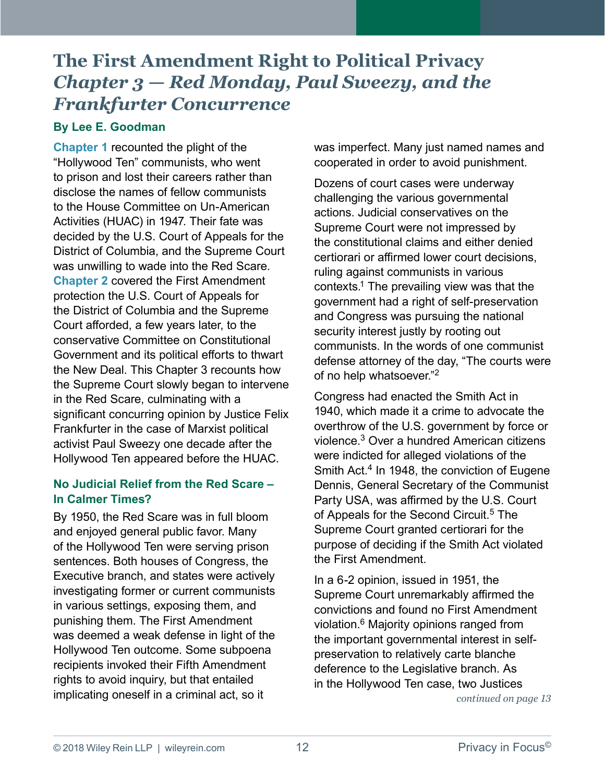#### <span id="page-11-0"></span>**By Lee E. Goodman**

**[Chapter 1](https://www.wileyrein.com/newsroom-newsletters-item-The-First-Amendment-Right-of-Political-Privacy-Chapter-One-The-Edgerton-Dissent.html)** recounted the plight of the "Hollywood Ten" communists, who went to prison and lost their careers rather than disclose the names of fellow communists to the House Committee on Un-American Activities (HUAC) in 1947. Their fate was decided by the U.S. Court of Appeals for the District of Columbia, and the Supreme Court was unwilling to wade into the Red Scare. **[Chapter 2](https://www.wileyrein.com/newsroom-newsletters-item-Nov_2018-PIF_The_First_Amendment_Right_to_Political_Privacy_Chapter_2_The_New_Deal_Witch_Hunt.html)** covered the First Amendment protection the U.S. Court of Appeals for the District of Columbia and the Supreme Court afforded, a few years later, to the conservative Committee on Constitutional Government and its political efforts to thwart the New Deal. This Chapter 3 recounts how the Supreme Court slowly began to intervene in the Red Scare, culminating with a significant concurring opinion by Justice Felix Frankfurter in the case of Marxist political activist Paul Sweezy one decade after the Hollywood Ten appeared before the HUAC.

#### **No Judicial Relief from the Red Scare – In Calmer Times?**

By 1950, the Red Scare was in full bloom and enjoyed general public favor. Many of the Hollywood Ten were serving prison sentences. Both houses of Congress, the Executive branch, and states were actively investigating former or current communists in various settings, exposing them, and punishing them. The First Amendment was deemed a weak defense in light of the Hollywood Ten outcome. Some subpoena recipients invoked their Fifth Amendment rights to avoid inquiry, but that entailed implicating oneself in a criminal act, so it

was imperfect. Many just named names and cooperated in order to avoid punishment.

Dozens of court cases were underway challenging the various governmental actions. Judicial conservatives on the Supreme Court were not impressed by the constitutional claims and either denied certiorari or affirmed lower court decisions, ruling against communists in various contexts.<sup>1</sup> The prevailing view was that the government had a right of self-preservation and Congress was pursuing the national security interest justly by rooting out communists. In the words of one communist defense attorney of the day, "The courts were of no help whatsoever."[2](#page-18-0)

Congress had enacted the Smith Act in 1940, which made it a crime to advocate the overthrow of the U.S. government by force or violence.[3](#page-18-0) Over a hundred American citizens were indicted for alleged violations of the Smith Act. $4$  In 1948, the conviction of Eugene Dennis, General Secretary of the Communist Party USA, was affirmed by the U.S. Court of Appeals for the Second Circuit.<sup>[5](#page-18-0)</sup> The Supreme Court granted certiorari for the purpose of deciding if the Smith Act violated the First Amendment.

In a 6-2 opinion, issued in 1951, the Supreme Court unremarkably affirmed the convictions and found no First Amendment violation.[6](#page-18-0) Majority opinions ranged from the important governmental interest in selfpreservation to relatively carte blanche deference to the Legislative branch. As in the Hollywood Ten case, two Justices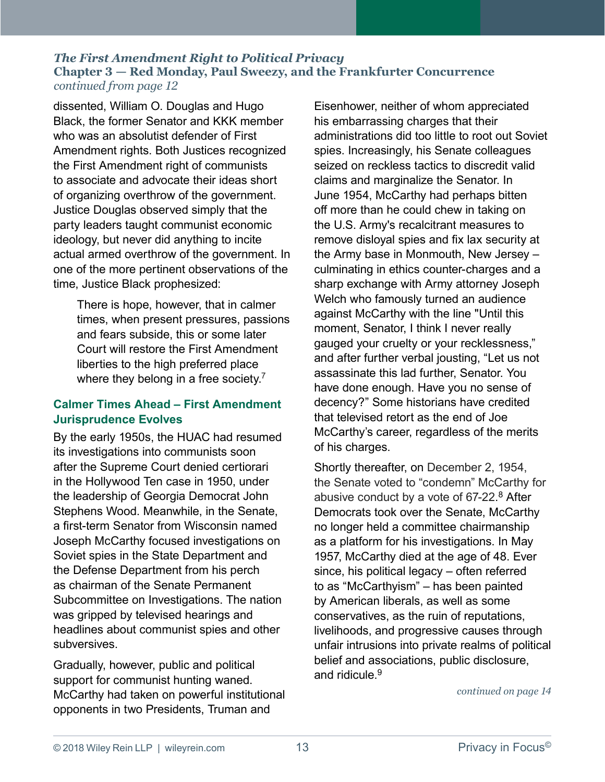<span id="page-12-0"></span>dissented, William O. Douglas and Hugo Black, the former Senator and KKK member who was an absolutist defender of First Amendment rights. Both Justices recognized the First Amendment right of communists to associate and advocate their ideas short of organizing overthrow of the government. Justice Douglas observed simply that the party leaders taught communist economic ideology, but never did anything to incite actual armed overthrow of the government. In one of the more pertinent observations of the time, Justice Black prophesized:

There is hope, however, that in calmer times, when present pressures, passions and fears subside, this or some later Court will restore the First Amendment liberties to the high preferred place where they belong in a free society.<sup>7</sup>

#### **Calmer Times Ahead – First Amendment Jurisprudence Evolves**

By the early 1950s, the HUAC had resumed its investigations into communists soon after the Supreme Court denied certiorari in the Hollywood Ten case in 1950, under the leadership of Georgia Democrat John Stephens Wood. Meanwhile, in the Senate, a first-term Senator from Wisconsin named Joseph McCarthy focused investigations on Soviet spies in the State Department and the Defense Department from his perch as chairman of the Senate Permanent Subcommittee on Investigations. The nation was gripped by televised hearings and headlines about communist spies and other subversives.

Gradually, however, public and political support for communist hunting waned. McCarthy had taken on powerful institutional opponents in two Presidents, Truman and

Eisenhower, neither of whom appreciated his embarrassing charges that their administrations did too little to root out Soviet spies. Increasingly, his Senate colleagues seized on reckless tactics to discredit valid claims and marginalize the Senator. In June 1954, McCarthy had perhaps bitten off more than he could chew in taking on the U.S. Army's recalcitrant measures to remove disloyal spies and fix lax security at the Army base in Monmouth, New Jersey – culminating in ethics counter-charges and a sharp exchange with Army attorney Joseph Welch who famously turned an audience against McCarthy with the line "Until this moment, Senator, I think I never really gauged your cruelty or your recklessness," and after further verbal jousting, "Let us not assassinate this lad further, Senator. You have done enough. Have you no sense of decency?" Some historians have credited that televised retort as the end of Joe McCarthy's career, regardless of the merits of his charges.

Shortly thereafter, on December 2, 1954, the Senate voted to "condemn" McCarthy for abusive conduct by a vote of 67-22. [8](#page-19-0) After Democrats took over the Senate, McCarthy no longer held a committee chairmanship as a platform for his investigations. In May 1957, McCarthy died at the age of 48. Ever since, his political legacy – often referred to as "McCarthyism" – has been painted by American liberals, as well as some conservatives, as the ruin of reputations, livelihoods, and progressive causes through unfair intrusions into private realms of political belief and associations, public disclosure, and ridicule.<sup>9</sup>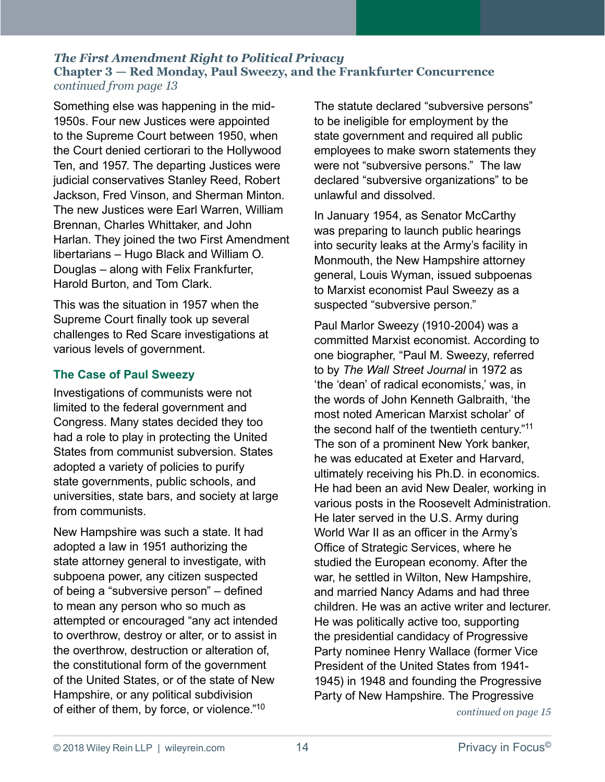<span id="page-13-0"></span>Something else was happening in the mid-1950s. Four new Justices were appointed to the Supreme Court between 1950, when the Court denied certiorari to the Hollywood Ten, and 1957. The departing Justices were judicial conservatives Stanley Reed, Robert Jackson, Fred Vinson, and Sherman Minton. The new Justices were Earl Warren, William Brennan, Charles Whittaker, and John Harlan. They joined the two First Amendment libertarians – Hugo Black and William O. Douglas – along with Felix Frankfurter, Harold Burton, and Tom Clark.

This was the situation in 1957 when the Supreme Court finally took up several challenges to Red Scare investigations at various levels of government.

#### **The Case of Paul Sweezy**

Investigations of communists were not limited to the federal government and Congress. Many states decided they too had a role to play in protecting the United States from communist subversion. States adopted a variety of policies to purify state governments, public schools, and universities, state bars, and society at large from communists.

New Hampshire was such a state. It had adopted a law in 1951 authorizing the state attorney general to investigate, with subpoena power, any citizen suspected of being a "subversive person" – defined to mean any person who so much as attempted or encouraged "any act intended to overthrow, destroy or alter, or to assist in the overthrow, destruction or alteration of, the constitutional form of the government of the United States, or of the state of New Hampshire, or any political subdivision of either of them, by force, or violence."[10](#page-19-0)

The statute declared "subversive persons" to be ineligible for employment by the state government and required all public employees to make sworn statements they were not "subversive persons." The law declared "subversive organizations" to be unlawful and dissolved.

In January 1954, as Senator McCarthy was preparing to launch public hearings into security leaks at the Army's facility in Monmouth, the New Hampshire attorney general, Louis Wyman, issued subpoenas to Marxist economist Paul Sweezy as a suspected "subversive person."

Paul Marlor Sweezy (1910-2004) was a committed Marxist economist. According to one biographer, "Paul M. Sweezy, referred to by *The Wall Street Journal* in 1972 as 'the 'dean' of radical economists,' was, in the words of John Kenneth Galbraith, 'the most noted American Marxist scholar' of the second half of the twentieth century."[11](#page-19-0) The son of a prominent New York banker, he was educated at Exeter and Harvard, ultimately receiving his Ph.D. in economics. He had been an avid New Dealer, working in various posts in the Roosevelt Administration. He later served in the U.S. Army during World War II as an officer in the Army's Office of Strategic Services, where he studied the European economy. After the war, he settled in Wilton, New Hampshire, and married Nancy Adams and had three children. He was an active writer and lecturer. He was politically active too, supporting the presidential candidacy of Progressive Party nominee Henry Wallace (former Vice President of the United States from 1941- 1945) in 1948 and founding the Progressive Party of New Hampshire. The Progressive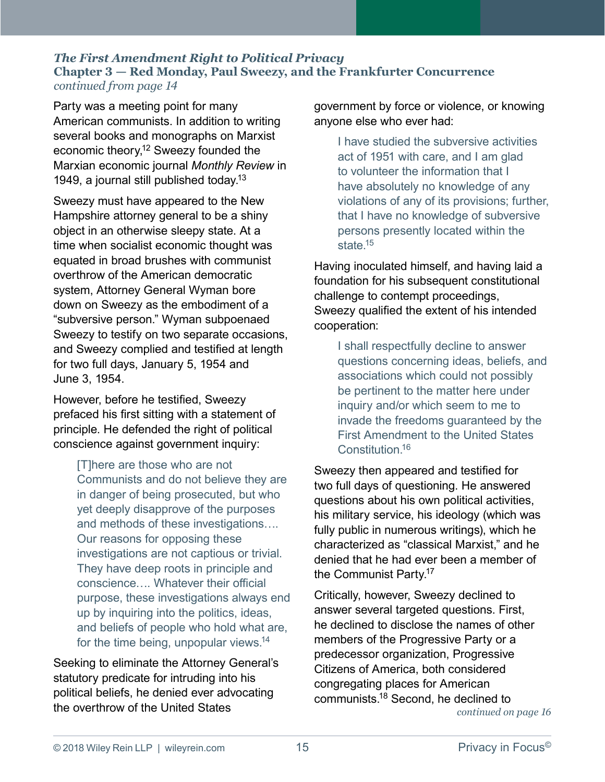<span id="page-14-0"></span>Party was a meeting point for many American communists. In addition to writing several books and monographs on Marxist economic theory,<sup>12</sup> Sweezy founded the Marxian economic journal *Monthly Review* in 1949, a journal still published today.<sup>[13](#page-19-0)</sup>

Sweezy must have appeared to the New Hampshire attorney general to be a shiny object in an otherwise sleepy state. At a time when socialist economic thought was equated in broad brushes with communist overthrow of the American democratic system, Attorney General Wyman bore down on Sweezy as the embodiment of a "subversive person." Wyman subpoenaed Sweezy to testify on two separate occasions, and Sweezy complied and testified at length for two full days, January 5, 1954 and June 3, 1954.

However, before he testified, Sweezy prefaced his first sitting with a statement of principle. He defended the right of political conscience against government inquiry:

> [T]here are those who are not Communists and do not believe they are in danger of being prosecuted, but who yet deeply disapprove of the purposes and methods of these investigations…. Our reasons for opposing these investigations are not captious or trivial. They have deep roots in principle and conscience…. Whatever their official purpose, these investigations always end up by inquiring into the politics, ideas, and beliefs of people who hold what are, for the time being, unpopular views.<sup>[14](#page-19-0)</sup>

Seeking to eliminate the Attorney General's statutory predicate for intruding into his political beliefs, he denied ever advocating the overthrow of the United States

government by force or violence, or knowing anyone else who ever had:

I have studied the subversive activities act of 1951 with care, and I am glad to volunteer the information that I have absolutely no knowledge of any violations of any of its provisions; further, that I have no knowledge of subversive persons presently located within the state.<sup>15</sup>

Having inoculated himself, and having laid a foundation for his subsequent constitutional challenge to contempt proceedings, Sweezy qualified the extent of his intended cooperation:

I shall respectfully decline to answer questions concerning ideas, beliefs, and associations which could not possibly be pertinent to the matter here under inquiry and/or which seem to me to invade the freedoms guaranteed by the First Amendment to the United States Constitution[.16](#page-19-0)

Sweezy then appeared and testified for two full days of questioning. He answered questions about his own political activities, his military service, his ideology (which was fully public in numerous writings), which he characterized as "classical Marxist," and he denied that he had ever been a member of the Communist Party.<sup>17</sup>

Critically, however, Sweezy declined to answer several targeted questions. First, he declined to disclose the names of other members of the Progressive Party or a predecessor organization, Progressive Citizens of America, both considered congregating places for American communists[.18](#page-19-0) Second, he declined to *[continued on page](#page-1-0) 16*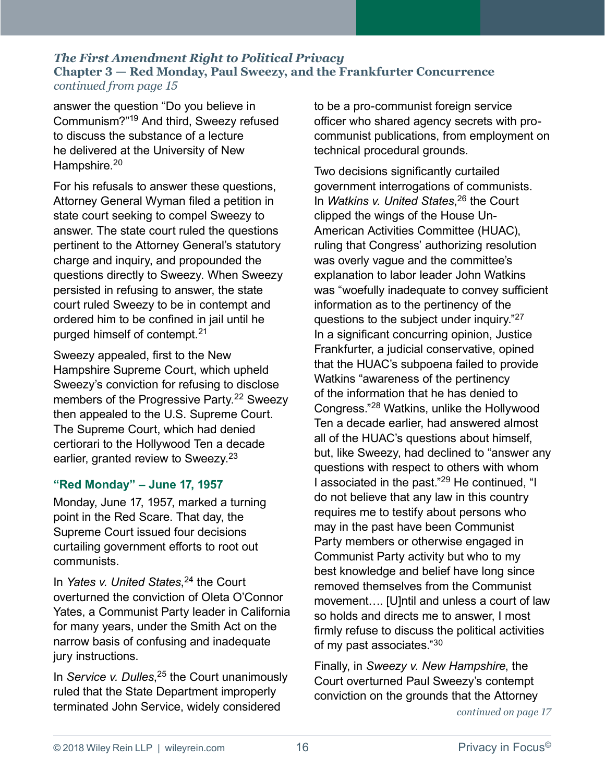<span id="page-15-0"></span>answer the question "Do you believe in Communism?"[19](#page-19-0) And third, Sweezy refused to discuss the substance of a lecture he delivered at the University of New Hampshire.<sup>[20](#page-19-0)</sup>

For his refusals to answer these questions, Attorney General Wyman filed a petition in state court seeking to compel Sweezy to answer. The state court ruled the questions pertinent to the Attorney General's statutory charge and inquiry, and propounded the questions directly to Sweezy. When Sweezy persisted in refusing to answer, the state court ruled Sweezy to be in contempt and ordered him to be confined in jail until he purged himself of contempt.[21](#page-19-0)

Sweezy appealed, first to the New Hampshire Supreme Court, which upheld Sweezy's conviction for refusing to disclose members of the Progressive Party.<sup>[22](#page-19-0)</sup> Sweezy then appealed to the U.S. Supreme Court. The Supreme Court, which had denied certiorari to the Hollywood Ten a decade earlier, granted review to Sweezy.<sup>[23](#page-19-0)</sup>

#### **"Red Monday" – June 17, 1957**

Monday, June 17, 1957, marked a turning point in the Red Scare. That day, the Supreme Court issued four decisions curtailing government efforts to root out communists.

In *Yates v. United States*, [24](#page-19-0) the Court overturned the conviction of Oleta O'Connor Yates, a Communist Party leader in California for many years, under the Smith Act on the narrow basis of confusing and inadequate jury instructions.

In *Service v. Dulles*, [25](#page-19-0) the Court unanimously ruled that the State Department improperly terminated John Service, widely considered

to be a pro-communist foreign service officer who shared agency secrets with procommunist publications, from employment on technical procedural grounds.

Two decisions significantly curtailed government interrogations of communists. In *Watkins v. United States*, [26](#page-19-0) the Court clipped the wings of the House Un-American Activities Committee (HUAC), ruling that Congress' authorizing resolution was overly vague and the committee's explanation to labor leader John Watkins was "woefully inadequate to convey sufficient information as to the pertinency of the questions to the subject under inquiry."[27](#page-19-0) In a significant concurring opinion, Justice Frankfurter, a judicial conservative, opined that the HUAC's subpoena failed to provide Watkins "awareness of the pertinency of the information that he has denied to Congress."[28](#page-19-0) Watkins, unlike the Hollywood Ten a decade earlier, had answered almost all of the HUAC's questions about himself, but, like Sweezy, had declined to "answer any questions with respect to others with whom I associated in the past."[29](#page-19-0) He continued, "I do not believe that any law in this country requires me to testify about persons who may in the past have been Communist Party members or otherwise engaged in Communist Party activity but who to my best knowledge and belief have long since removed themselves from the Communist movement…. [U]ntil and unless a court of law so holds and directs me to answer, I most firmly refuse to discuss the political activities of my past associates."[30](#page-19-0)

Finally, in *Sweezy v. New Hampshire*, the Court overturned Paul Sweezy's contempt conviction on the grounds that the Attorney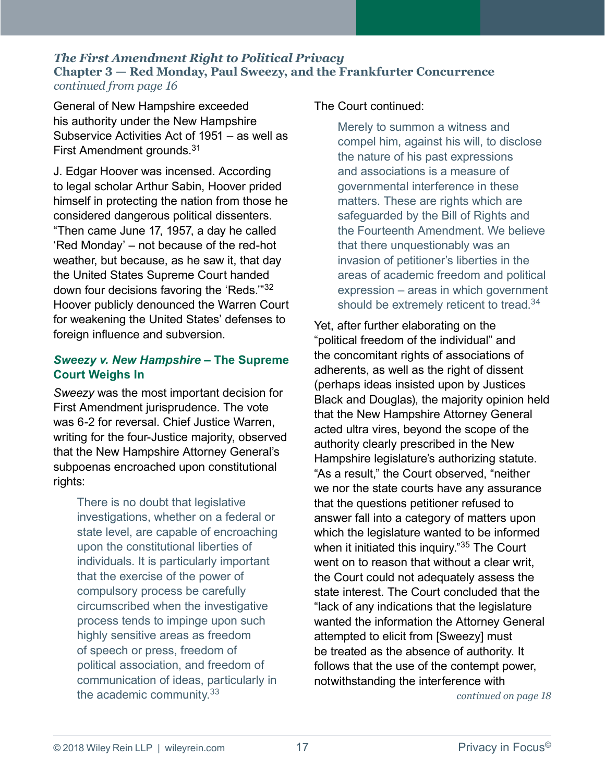<span id="page-16-0"></span>General of New Hampshire exceeded his authority under the New Hampshire Subservice Activities Act of 1951 – as well as First Amendment grounds.[31](#page-19-0)

J. Edgar Hoover was incensed. According to legal scholar Arthur Sabin, Hoover prided himself in protecting the nation from those he considered dangerous political dissenters. "Then came June 17, 1957, a day he called 'Red Monday' – not because of the red-hot weather, but because, as he saw it, that day the United States Supreme Court handed down four decisions favoring the 'Reds.'"[32](#page-19-0) Hoover publicly denounced the Warren Court for weakening the United States' defenses to foreign influence and subversion.

#### *Sweezy v. New Hampshire* **– The Supreme Court Weighs In**

*Sweezy* was the most important decision for First Amendment jurisprudence. The vote was 6-2 for reversal. Chief Justice Warren, writing for the four-Justice majority, observed that the New Hampshire Attorney General's subpoenas encroached upon constitutional rights:

There is no doubt that legislative investigations, whether on a federal or state level, are capable of encroaching upon the constitutional liberties of individuals. It is particularly important that the exercise of the power of compulsory process be carefully circumscribed when the investigative process tends to impinge upon such highly sensitive areas as freedom of speech or press, freedom of political association, and freedom of communication of ideas, particularly in the academic community.<sup>[33](#page-19-0)</sup>

#### The Court continued:

Merely to summon a witness and compel him, against his will, to disclose the nature of his past expressions and associations is a measure of governmental interference in these matters. These are rights which are safeguarded by the Bill of Rights and the Fourteenth Amendment. We believe that there unquestionably was an invasion of petitioner's liberties in the areas of academic freedom and political expression – areas in which government should be extremely reticent to tread.<sup>[34](#page-19-0)</sup>

Yet, after further elaborating on the "political freedom of the individual" and the concomitant rights of associations of adherents, as well as the right of dissent (perhaps ideas insisted upon by Justices Black and Douglas), the majority opinion held that the New Hampshire Attorney General acted ultra vires, beyond the scope of the authority clearly prescribed in the New Hampshire legislature's authorizing statute. "As a result," the Court observed, "neither we nor the state courts have any assurance that the questions petitioner refused to answer fall into a category of matters upon which the legislature wanted to be informed when it initiated this inquiry."[35](#page-19-0) The Court went on to reason that without a clear writ, the Court could not adequately assess the state interest. The Court concluded that the "lack of any indications that the legislature wanted the information the Attorney General attempted to elicit from [Sweezy] must be treated as the absence of authority. It follows that the use of the contempt power, notwithstanding the interference with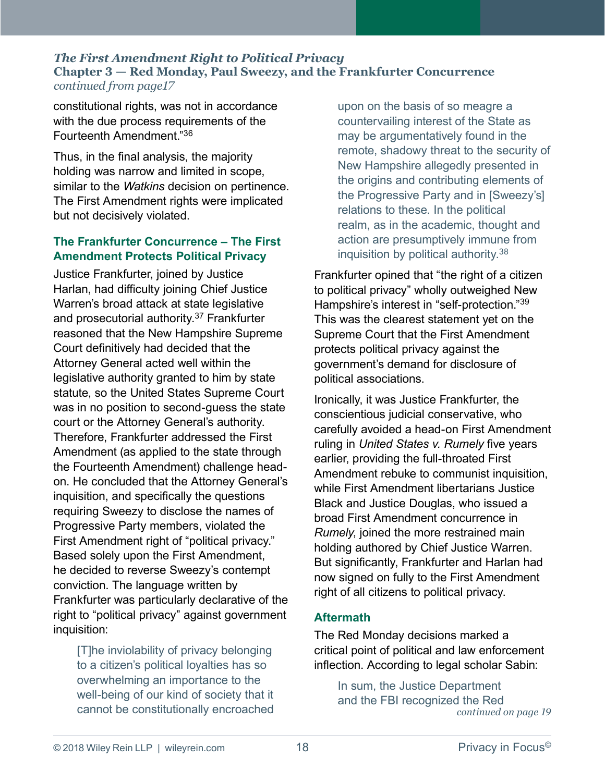<span id="page-17-0"></span>constitutional rights, was not in accordance with the due process requirements of the Fourteenth Amendment."[36](#page-19-0)

Thus, in the final analysis, the majority holding was narrow and limited in scope, similar to the *Watkins* decision on pertinence. The First Amendment rights were implicated but not decisively violated.

#### **The Frankfurter Concurrence – The First Amendment Protects Political Privacy**

Justice Frankfurter, joined by Justice Harlan, had difficulty joining Chief Justice Warren's broad attack at state legislative and prosecutorial authority.<sup>[37](#page-19-0)</sup> Frankfurter reasoned that the New Hampshire Supreme Court definitively had decided that the Attorney General acted well within the legislative authority granted to him by state statute, so the United States Supreme Court was in no position to second-guess the state court or the Attorney General's authority. Therefore, Frankfurter addressed the First Amendment (as applied to the state through the Fourteenth Amendment) challenge headon. He concluded that the Attorney General's inquisition, and specifically the questions requiring Sweezy to disclose the names of Progressive Party members, violated the First Amendment right of "political privacy." Based solely upon the First Amendment, he decided to reverse Sweezy's contempt conviction. The language written by Frankfurter was particularly declarative of the right to "political privacy" against government inquisition:

[T]he inviolability of privacy belonging to a citizen's political loyalties has so overwhelming an importance to the well-being of our kind of society that it cannot be constitutionally encroached upon on the basis of so meagre a countervailing interest of the State as may be argumentatively found in the remote, shadowy threat to the security of New Hampshire allegedly presented in the origins and contributing elements of the Progressive Party and in [Sweezy's] relations to these. In the political realm, as in the academic, thought and action are presumptively immune from inquisition by political authority[.38](#page-19-0)

Frankfurter opined that "the right of a citizen to political privacy" wholly outweighed New Hampshire's interest in "self-protection."[39](#page-19-0) This was the clearest statement yet on the Supreme Court that the First Amendment protects political privacy against the government's demand for disclosure of political associations.

Ironically, it was Justice Frankfurter, the conscientious judicial conservative, who carefully avoided a head-on First Amendment ruling in *United States v. Rumely* five years earlier, providing the full-throated First Amendment rebuke to communist inquisition, while First Amendment libertarians Justice Black and Justice Douglas, who issued a broad First Amendment concurrence in *Rumely*, joined the more restrained main holding authored by Chief Justice Warren. But significantly, Frankfurter and Harlan had now signed on fully to the First Amendment right of all citizens to political privacy.

#### **Aftermath**

The Red Monday decisions marked a critical point of political and law enforcement inflection. According to legal scholar Sabin:

In sum, the Justice Department and the FBI recognized the Red *[continued on page](#page-1-0) 19*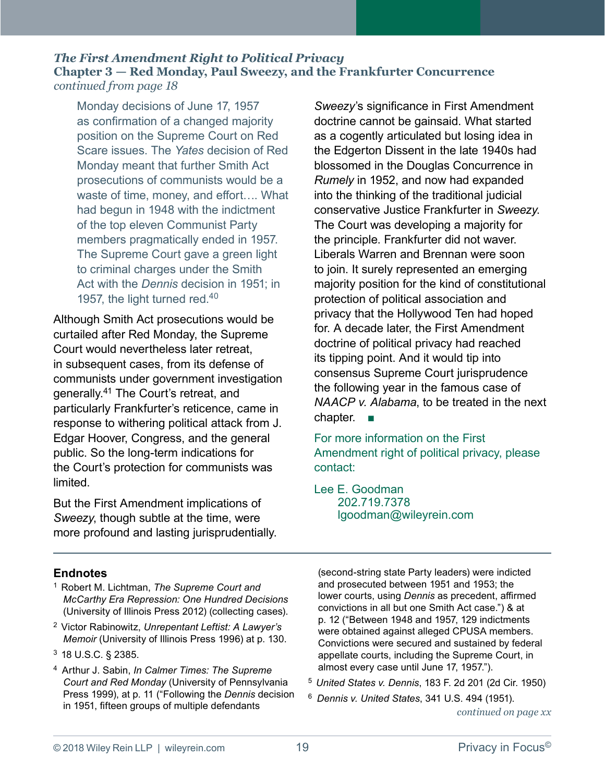<span id="page-18-0"></span>*continued from page 18*

Monday decisions of June 17, 1957 as confirmation of a changed majority position on the Supreme Court on Red Scare issues. The *Yates* decision of Red Monday meant that further Smith Act prosecutions of communists would be a waste of time, money, and effort…. What had begun in 1948 with the indictment of the top eleven Communist Party members pragmatically ended in 1957. The Supreme Court gave a green light to criminal charges under the Smith Act with the *Dennis* decision in 1951; in 1957, the light turned red.<sup>[40](#page-19-0)</sup>

Although Smith Act prosecutions would be curtailed after Red Monday, the Supreme Court would nevertheless later retreat, in subsequent cases, from its defense of communists under government investigation generally.[41](#page-19-0) The Court's retreat, and particularly Frankfurter's reticence, came in response to withering political attack from J. Edgar Hoover, Congress, and the general public. So the long-term indications for the Court's protection for communists was limited.

But the First Amendment implications of *Sweezy*, though subtle at the time, were more profound and lasting jurisprudentially. *Sweezy*'s significance in First Amendment doctrine cannot be gainsaid. What started as a cogently articulated but losing idea in the Edgerton Dissent in the late 1940s had blossomed in the Douglas Concurrence in *Rumely* in 1952, and now had expanded into the thinking of the traditional judicial conservative Justice Frankfurter in *Sweezy*. The Court was developing a majority for the principle. Frankfurter did not waver. Liberals Warren and Brennan were soon to join. It surely represented an emerging majority position for the kind of constitutional protection of political association and privacy that the Hollywood Ten had hoped for. A decade later, the First Amendment doctrine of political privacy had reached its tipping point. And it would tip into consensus Supreme Court jurisprudence the following year in the famous case of *NAACP v. Alabama*, to be treated in the next chapter. ■

For more information on the First Amendment right of political privacy, please contact:

[Lee E. Goodman](https://www.wileyrein.com/professionals-Lee_Goodman.html) 202.719.7378 [lgoodman@wileyrein.com](mailto:lgoodman@wileyrein.com)

#### **Endnotes**

- [1](#page-11-0) Robert M. Lichtman, *The Supreme Court and McCarthy Era Repression: One Hundred Decisions* (University of Illinois Press 2012) (collecting cases).
- [2](#page-11-0) Victor Rabinowitz, *Unrepentant Leftist: A Lawyer's Memoir* (University of Illinois Press 1996) at p. 130.
- [3](#page-11-0) 18 U.S.C. § 2385.
- [4](#page-11-0) Arthur J. Sabin, *In Calmer Times: The Supreme Court and Red Monday* (University of Pennsylvania Press 1999), at p. 11 ("Following the *Dennis* decision in 1951, fifteen groups of multiple defendants

(second-string state Party leaders) were indicted and prosecuted between 1951 and 1953; the lower courts, using *Dennis* as precedent, affirmed convictions in all but one Smith Act case.") & at p. 12 ("Between 1948 and 1957, 129 indictments were obtained against alleged CPUSA members. Convictions were secured and sustained by federal appellate courts, including the Supreme Court, in almost every case until June 17, 1957.").

- [5](#page-11-0) *United States v. Dennis*, 183 F. 2d 201 (2d Cir. 1950)
- *[continued on page x](#page-1-0)x* [6](#page-11-0) *Dennis v. United States*, 341 U.S. 494 (1951).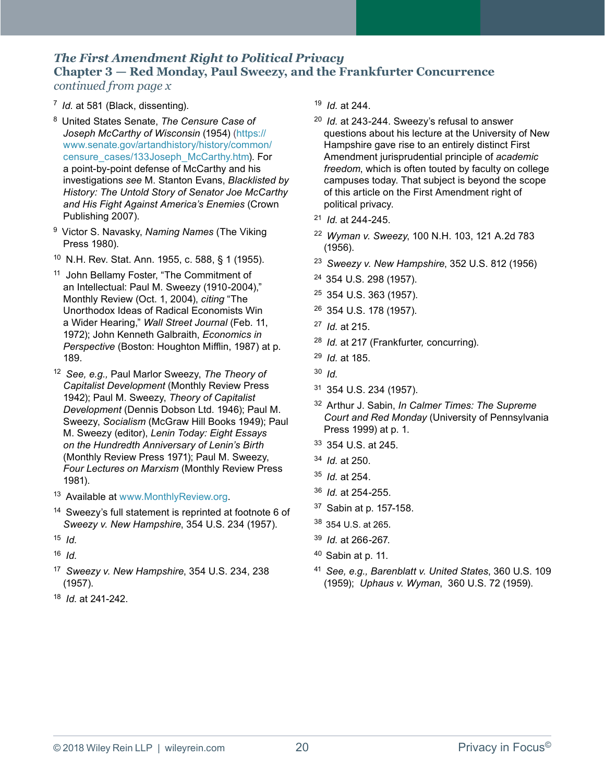<span id="page-19-0"></span>[7](#page-12-0) *Id.* at 581 (Black, dissenting).

- [8](#page-12-0) United States Senate, *The Censure Case of Joseph McCarthy of Wisconsin* (1954) ([https://](https://www.senate.gov/artandhistory/history/common/censure_cases/133Joseph_McCarthy.htm) [www.senate.gov/artandhistory/history/common/](https://www.senate.gov/artandhistory/history/common/censure_cases/133Joseph_McCarthy.htm) [censure\\_cases/133Joseph\\_McCarthy.htm](https://www.senate.gov/artandhistory/history/common/censure_cases/133Joseph_McCarthy.htm)). For a point-by-point defense of McCarthy and his investigations *see* M. Stanton Evans, *Blacklisted by History: The Untold Story of Senator Joe McCarthy and His Fight Against America's Enemies* (Crown Publishing 2007).
- [9](#page-12-0) Victor S. Navasky, *Naming Names* (The Viking Press 1980).
- [10](#page-13-0) N.H. Rev. Stat. Ann. 1955, c. 588, § 1 (1955).
- <sup>[11](#page-13-0)</sup> John Bellamy Foster, "The Commitment of an Intellectual: Paul M. Sweezy (1910-2004)," Monthly Review (Oct. 1, 2004), *citing* "The Unorthodox Ideas of Radical Economists Win a Wider Hearing," *Wall Street Journal* (Feb. 11, 1972); John Kenneth Galbraith, *Economics in Perspective* (Boston: Houghton Mifflin, 1987) at p. 189.
- [12](#page-14-0) *See, e.g.,* Paul Marlor Sweezy, *The Theory of Capitalist Development* (Monthly Review Press 1942); Paul M. Sweezy, *Theory of Capitalist Development* (Dennis Dobson Ltd. 1946); Paul M. Sweezy, *Socialism* (McGraw Hill Books 1949); Paul M. Sweezy (editor), *Lenin Today: Eight Essays on the Hundredth Anniversary of Lenin's Birth* (Monthly Review Press 1971); Paul M. Sweezy, *Four Lectures on Marxism* (Monthly Review Press 1981).
- [13](#page-14-0) Available at [www.MonthlyReview.org](http://www.MonthlyReview.org).
- <sup>[14](#page-14-0)</sup> Sweezy's full statement is reprinted at footnote 6 of *Sweezy v. New Hampshire*, 354 U.S. 234 (1957).
- [15](#page-14-0) *Id.*
- [16](#page-14-0) *Id.*
- [17](#page-14-0) *Sweezy v. New Hampshire*, 354 U.S. 234, 238 (1957).
- [18](#page-14-0) *Id*. at 241-242.
- [19](#page-15-0) *Id.* at 244.
- [20](#page-15-0) *Id.* at 243-244. Sweezy's refusal to answer questions about his lecture at the University of New Hampshire gave rise to an entirely distinct First Amendment jurisprudential principle of *academic freedom*, which is often touted by faculty on college campuses today. That subject is beyond the scope of this article on the First Amendment right of political privacy.
- [21](#page-15-0) *Id*. at 244-245.
- [22](#page-15-0) *Wyman v. Sweezy*, 100 N.H. 103, 121 A.2d 783 (1956).
- [23](#page-15-0) *Sweezy v. New Hampshire*, 352 U.S. 812 (1956)
- [24](#page-15-0) 354 U.S. 298 (1957).
- [25](#page-15-0) 354 U.S. 363 (1957).
- [26](#page-15-0) 354 U.S. 178 (1957).
- [27](#page-15-0) *Id.* at 215.
- [28](#page-15-0) *Id.* at 217 (Frankfurter*,* concurring).
- [29](#page-15-0) *Id.* at 185.
- [30](#page-15-0) *Id.*
- [31](#page-16-0) 354 U.S. 234 (1957).
- [32](#page-16-0) Arthur J. Sabin, *In Calmer Times: The Supreme Court and Red Monday* (University of Pennsylvania Press 1999) at p. 1.
- [33](#page-16-0) 354 U.S. at 245.
- [34](#page-16-0) *Id.* at 250.
- [35](#page-16-0) *Id.* at 254.
- [36](#page-17-0) *Id.* at 254-255.
- [37](#page-17-0) Sabin at p. 157-158.
- [38](#page-17-0) 354 U.S. at 265.
- [39](#page-17-0) *Id.* at 266-267.
- $40$  Sabin at p. 11.
- [41](#page-18-0) *See, e.g., Barenblatt v. United States*, 360 U.S. 109 (1959); *Uphaus v. Wyman*, 360 U.S. 72 (1959).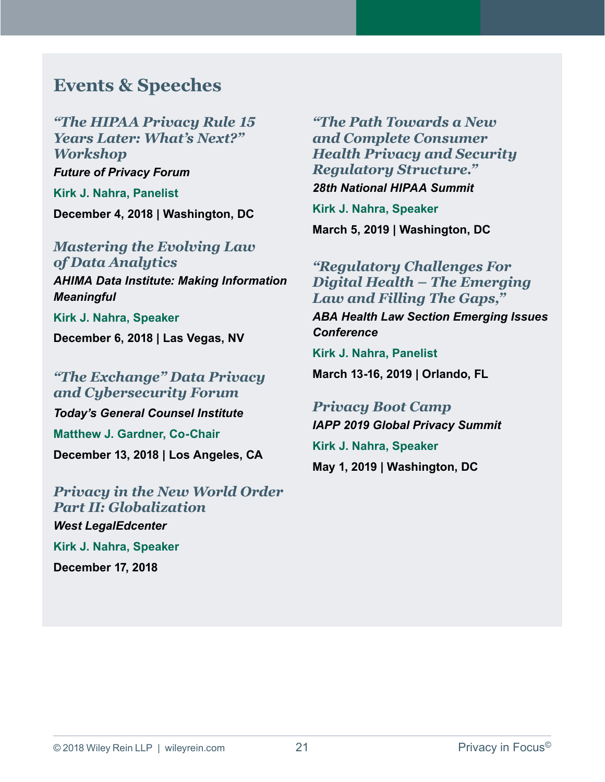# <span id="page-20-0"></span>**Events & Speeches**

*["The HIPAA Privacy Rule 15](https://fpf.org/event/the-hipaa-privacy-rule-15-years-later-whats-next-workshop/)  Years Later: What's Next?" Workshop Future of Privacy Forum* **Kirk J. Nahra, Panelist**

**December 4, 2018 | Washington, DC**

#### *[Mastering the Evolving Law](http://www.ahima.org/events/2018-Data-Institute-Making-Information-Meaningful)  of Data Analytics*

*AHIMA Data Institute: Making Information Meaningful*

**Kirk J. Nahra, Speaker December 6, 2018 | Las Vegas, NV** 

## *["The Exchange" Data Privacy](https://www.todaysgeneralcounsel.com/institute/cyber-los-angeles/)  and Cybersecurity Forum*

*Today's General Counsel Institute* **Matthew J. Gardner, Co-Chair December 13, 2018 | Los Angeles, CA** 

# *[Privacy in the New World Order](https://westlegaledcenter.com/program_guide/course_detail.jsf?videoCourseId=100244221&ADMIN_PREVIEW=true)  Part II: Globalization West LegalEdcenter* **Kirk J. Nahra, Speaker**

**December 17, 2018**

*"The Path Towards a New and Complete Consumer [Health Privacy and Security](https://hipaasummit.com/)  Regulatory Structure."*

*28th National HIPAA Summit* 

**Kirk J. Nahra, Speaker March 5, 2019 | Washington, DC** 

## *"Regulatory Challenges For [Digital Health – The Emerging](https://www.americanbar.org/events-cle/mtg/inperson/345407747/)  Law and Filling The Gaps,"*

*ABA Health Law Section Emerging Issues Conference*

**Kirk J. Nahra, Panelist**

**March 13-16, 2019 | Orlando, FL**

## *[Privacy Boot Camp](https://iapp.org/conference/global-privacy-summit/) IAPP 2019 Global Privacy Summit*

**Kirk J. Nahra, Speaker May 1, 2019 | Washington, DC**